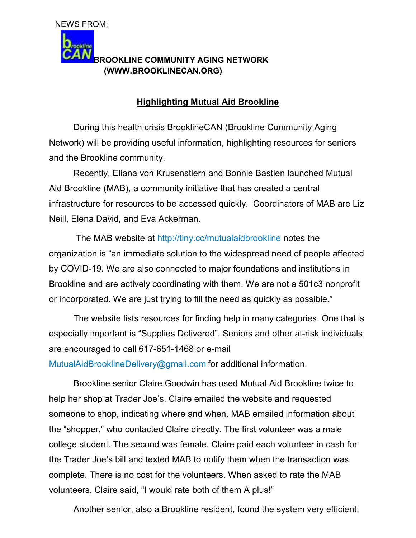## aokline **BROOKLINE COMMUNITY AGING NETWORK (WWW.BROOKLINECAN.ORG)**

## **Highlighting Mutual Aid Brookline**

 During this health crisis BrooklineCAN (Brookline Community Aging Network) will be providing useful information, highlighting resources for seniors and the Brookline community.

Recently, Eliana von Krusenstiern and Bonnie Bastien launched Mutual Aid Brookline (MAB), a community initiative that has created a central infrastructure for resources to be accessed quickly. Coordinators of MAB are Liz Neill, Elena David, and Eva Ackerman.

The MAB website at http://tiny.cc/mutualaidbrookline notes the organization is "an immediate solution to the widespread need of people affected by COVID-19. We are also connected to major foundations and institutions in Brookline and are actively coordinating with them. We are not a 501c3 nonprofit or incorporated. We are just trying to fill the need as quickly as possible."

 The website lists resources for finding help in many categories. One that is especially important is "Supplies Delivered". Seniors and other at-risk individuals are encouraged to call 617-651-1468 or e-mail

MutualAidBrooklineDelivery@gmail.com for additional information.

Brookline senior Claire Goodwin has used Mutual Aid Brookline twice to help her shop at Trader Joe's. Claire emailed the website and requested someone to shop, indicating where and when. MAB emailed information about the "shopper," who contacted Claire directly. The first volunteer was a male college student. The second was female. Claire paid each volunteer in cash for the Trader Joe's bill and texted MAB to notify them when the transaction was complete. There is no cost for the volunteers. When asked to rate the MAB volunteers, Claire said, "I would rate both of them A plus!"

Another senior, also a Brookline resident, found the system very efficient.